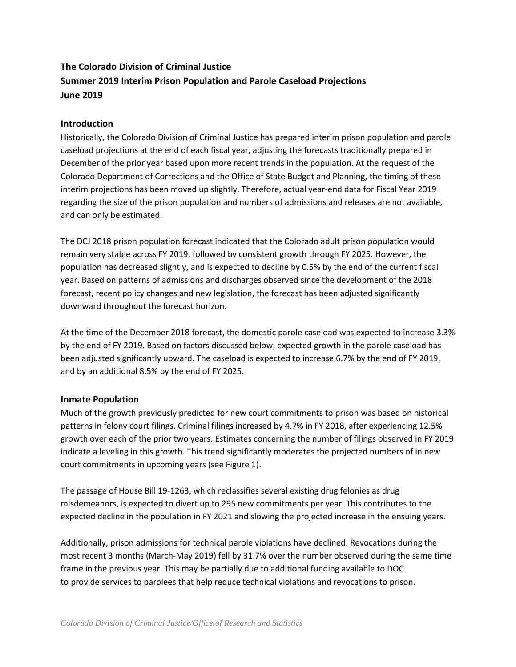# **The Colorado Division of Criminal Justice Summer 2019 Interim Prison Population and Parole Caseload Projections June 2019**

# **Introduction**

Historically, the Colorado Division of Criminal Justice has prepared interim prison population and parole caseload projections at the end of each fiscal year, adjusting the forecasts traditionally prepared in December of the prior year based upon more recent trends in the population. At the request of the Colorado Department of Corrections and the Office of State Budget and Planning, the timing of these interim projections has been moved up slightly. Therefore, actual year-end data for Fiscal Year 2019 regarding the size of the prison population and numbers of admissions and releases are not available, and can only be estimated.

The DCJ 2018 prison population forecast indicated that the Colorado adult prison population would remain very stable across FY 2019, followed by consistent growth through FY 2025. However, the population has decreased slightly, and is expected to decline by 0.5% by the end of the current fiscal year. Based on patterns of admissions and discharges observed since the development of the 2018 forecast, recent policy changes and new legislation, the forecast has been adjusted significantly downward throughout the forecast horizon.

At the time of the December 2018 forecast, the domestic parole caseload was expected to increase 3.3% by the end of FY 2019. Based on factors discussed below, expected growth in the parole caseload has been adjusted significantly upward. The caseload is expected to increase 6.7% by the end of FY 2019, and by an additional 8.5% by the end of FY 2025.

## **Inmate Population**

Much of the growth previously predicted for new court commitments to prison was based on historical patterns in felony court filings. Criminal filings increased by 4.7% in FY 2018, after experiencing 12.5% growth over each of the prior two years. Estimates concerning the number of filings observed in FY 2019 indicate a leveling in this growth. This trend significantly moderates the projected numbers of in new court commitments in upcoming years (see Figure 1).

The passage of House Bill 19-1263, which reclassifies several existing drug felonies as drug misdemeanors, is expected to divert up to 295 new commitments per year. This contributes to the expected decline in the population in FY 2021 and slowing the projected increase in the ensuing years.

Additionally, prison admissions for technical parole violations have declined. Revocations during the most recent 3 months (March-May 2019) fell by 31.7% over the number observed during the same time frame in the previous year. This may be partially due to additional funding available to DOC to provide services to parolees that help reduce technical violations and revocations to prison.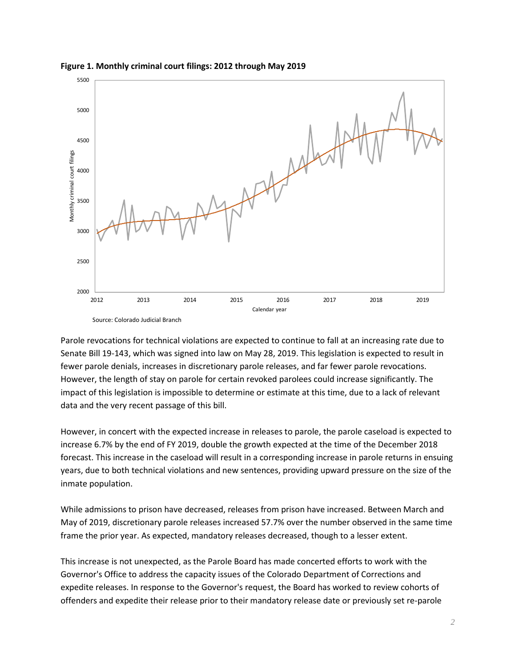

#### **Figure 1. Monthly criminal court filings: 2012 through May 2019**

Parole revocations for technical violations are expected to continue to fall at an increasing rate due to Senate Bill 19-143, which was signed into law on May 28, 2019. This legislation is expected to result in fewer parole denials, increases in discretionary parole releases, and far fewer parole revocations. However, the length of stay on parole for certain revoked parolees could increase significantly. The impact of this legislation is impossible to determine or estimate at this time, due to a lack of relevant data and the very recent passage of this bill.

However, in concert with the expected increase in releases to parole, the parole caseload is expected to increase 6.7% by the end of FY 2019, double the growth expected at the time of the December 2018 forecast. This increase in the caseload will result in a corresponding increase in parole returns in ensuing years, due to both technical violations and new sentences, providing upward pressure on the size of the inmate population.

While admissions to prison have decreased, releases from prison have increased. Between March and May of 2019, discretionary parole releases increased 57.7% over the number observed in the same time frame the prior year. As expected, mandatory releases decreased, though to a lesser extent.

This increase is not unexpected, as the Parole Board has made concerted efforts to work with the Governor's Office to address the capacity issues of the Colorado Department of Corrections and expedite releases. In response to the Governor's request, the Board has worked to review cohorts of offenders and expedite their release prior to their mandatory release date or previously set re-parole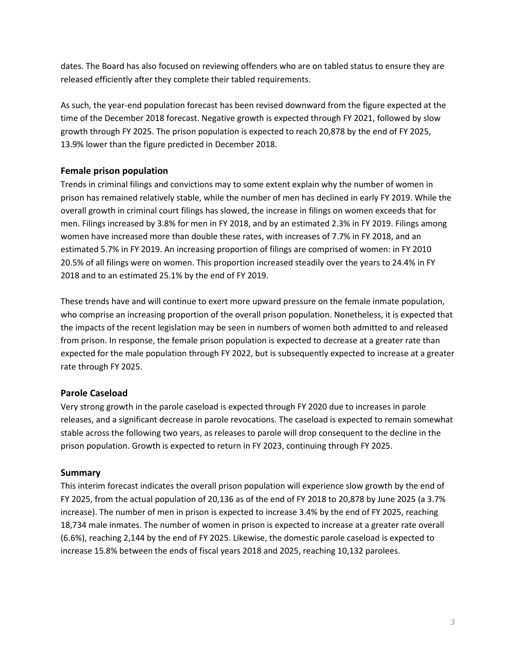dates. The Board has also focused on reviewing offenders who are on tabled status to ensure they are released efficiently after they complete their tabled requirements.

As such, the year-end population forecast has been revised downward from the figure expected at the time of the December 2018 forecast. Negative growth is expected through FY 2021, followed by slow growth through FY 2025. The prison population is expected to reach 20,878 by the end of FY 2025, 13.9% lower than the figure predicted in December 2018.

# **Female prison population**

Trends in criminal filings and convictions may to some extent explain why the number of women in prison has remained relatively stable, while the number of men has declined in early FY 2019. While the overall growth in criminal court filings has slowed, the increase in filings on women exceeds that for men. Filings increased by 3.8% for men in FY 2018, and by an estimated 2.3% in FY 2019. Filings among women have increased more than double these rates, with increases of 7.7% in FY 2018, and an estimated 5.7% in FY 2019. An increasing proportion of filings are comprised of women: in FY 2010 20.5% of all filings were on women. This proportion increased steadily over the years to 24.4% in FY 2018 and to an estimated 25.1% by the end of FY 2019.

These trends have and will continue to exert more upward pressure on the female inmate population, who comprise an increasing proportion of the overall prison population. Nonetheless, it is expected that the impacts of the recent legislation may be seen in numbers of women both admitted to and released from prison. In response, the female prison population is expected to decrease at a greater rate than expected for the male population through FY 2022, but is subsequently expected to increase at a greater rate through FY 2025.

## **Parole Caseload**

Very strong growth in the parole caseload is expected through FY 2020 due to increases in parole releases, and a significant decrease in parole revocations. The caseload is expected to remain somewhat stable across the following two years, as releases to parole will drop consequent to the decline in the prison population. Growth is expected to return in FY 2023, continuing through FY 2025.

## **Summary**

This interim forecast indicates the overall prison population will experience slow growth by the end of FY 2025, from the actual population of 20,136 as of the end of FY 2018 to 20,878 by June 2025 (a 3.7% increase). The number of men in prison is expected to increase 3.4% by the end of FY 2025, reaching 18,734 male inmates. The number of women in prison is expected to increase at a greater rate overall (6.6%), reaching 2,144 by the end of FY 2025. Likewise, the domestic parole caseload is expected to increase 15.8% between the ends of fiscal years 2018 and 2025, reaching 10,132 parolees.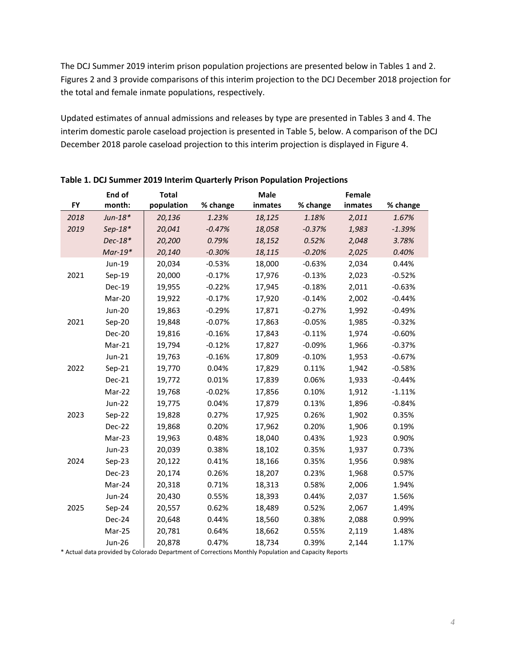The DCJ Summer 2019 interim prison population projections are presented below in Tables 1 and 2. Figures 2 and 3 provide comparisons of this interim projection to the DCJ December 2018 projection for the total and female inmate populations, respectively.

Updated estimates of annual admissions and releases by type are presented in Tables 3 and 4. The interim domestic parole caseload projection is presented in Table 5, below. A comparison of the DCJ December 2018 parole caseload projection to this interim projection is displayed in Figure 4.

|           | End of        | <b>Total</b> |          | <b>Male</b> |          | Female  |          |
|-----------|---------------|--------------|----------|-------------|----------|---------|----------|
| <b>FY</b> | month:        | population   | % change | inmates     | % change | inmates | % change |
| 2018      | $Jun-18*$     | 20,136       | 1.23%    | 18,125      | 1.18%    | 2,011   | 1.67%    |
| 2019      | $Sep-18*$     | 20,041       | $-0.47%$ | 18,058      | $-0.37%$ | 1,983   | $-1.39%$ |
|           | $Dec-18*$     | 20,200       | 0.79%    | 18,152      | 0.52%    | 2,048   | 3.78%    |
|           | $Mar-19*$     | 20,140       | $-0.30%$ | 18,115      | $-0.20%$ | 2,025   | 0.40%    |
|           | Jun-19        | 20,034       | $-0.53%$ | 18,000      | $-0.63%$ | 2,034   | 0.44%    |
| 2021      | $Sep-19$      | 20,000       | $-0.17%$ | 17,976      | $-0.13%$ | 2,023   | $-0.52%$ |
|           | Dec-19        | 19,955       | $-0.22%$ | 17,945      | $-0.18%$ | 2,011   | $-0.63%$ |
|           | Mar-20        | 19,922       | $-0.17%$ | 17,920      | $-0.14%$ | 2,002   | $-0.44%$ |
|           | Jun-20        | 19,863       | $-0.29%$ | 17,871      | $-0.27%$ | 1,992   | $-0.49%$ |
| 2021      | $Sep-20$      | 19,848       | $-0.07%$ | 17,863      | $-0.05%$ | 1,985   | $-0.32%$ |
|           | Dec-20        | 19,816       | $-0.16%$ | 17,843      | $-0.11%$ | 1,974   | $-0.60%$ |
|           | Mar-21        | 19,794       | $-0.12%$ | 17,827      | $-0.09%$ | 1,966   | $-0.37%$ |
|           | Jun-21        | 19,763       | $-0.16%$ | 17,809      | $-0.10%$ | 1,953   | $-0.67%$ |
| 2022      | $Sep-21$      | 19,770       | 0.04%    | 17,829      | 0.11%    | 1,942   | $-0.58%$ |
|           | Dec-21        | 19,772       | 0.01%    | 17,839      | 0.06%    | 1,933   | $-0.44%$ |
|           | Mar-22        | 19,768       | $-0.02%$ | 17,856      | 0.10%    | 1,912   | $-1.11%$ |
|           | Jun-22        | 19,775       | 0.04%    | 17,879      | 0.13%    | 1,896   | $-0.84%$ |
| 2023      | $Sep-22$      | 19,828       | 0.27%    | 17,925      | 0.26%    | 1,902   | 0.35%    |
|           | Dec-22        | 19,868       | 0.20%    | 17,962      | 0.20%    | 1,906   | 0.19%    |
|           | Mar-23        | 19,963       | 0.48%    | 18,040      | 0.43%    | 1,923   | 0.90%    |
|           | Jun-23        | 20,039       | 0.38%    | 18,102      | 0.35%    | 1,937   | 0.73%    |
| 2024      | $Sep-23$      | 20,122       | 0.41%    | 18,166      | 0.35%    | 1,956   | 0.98%    |
|           | Dec-23        | 20,174       | 0.26%    | 18,207      | 0.23%    | 1,968   | 0.57%    |
|           | Mar-24        | 20,318       | 0.71%    | 18,313      | 0.58%    | 2,006   | 1.94%    |
|           | Jun-24        | 20,430       | 0.55%    | 18,393      | 0.44%    | 2,037   | 1.56%    |
| 2025      | Sep-24        | 20,557       | 0.62%    | 18,489      | 0.52%    | 2,067   | 1.49%    |
|           | Dec-24        | 20,648       | 0.44%    | 18,560      | 0.38%    | 2,088   | 0.99%    |
|           | Mar-25        | 20,781       | 0.64%    | 18,662      | 0.55%    | 2,119   | 1.48%    |
|           | <b>Jun-26</b> | 20,878       | 0.47%    | 18,734      | 0.39%    | 2,144   | 1.17%    |

**Table 1. DCJ Summer 2019 Interim Quarterly Prison Population Projections** 

\* Actual data provided by Colorado Department of Corrections Monthly Population and Capacity Reports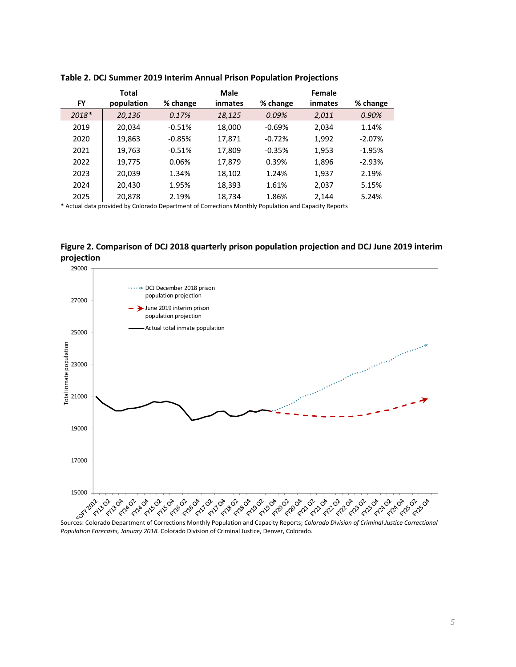|         | <b>Total</b> |          | Male    |          | Female  |          |
|---------|--------------|----------|---------|----------|---------|----------|
| FY      | population   | % change | inmates | % change | inmates | % change |
| $2018*$ | 20,136       | 0.17%    | 18,125  | 0.09%    | 2,011   | $0.90\%$ |
| 2019    | 20,034       | $-0.51%$ | 18,000  | $-0.69%$ | 2.034   | 1.14%    |
| 2020    | 19,863       | $-0.85%$ | 17,871  | $-0.72%$ | 1,992   | $-2.07%$ |
| 2021    | 19,763       | $-0.51%$ | 17,809  | $-0.35%$ | 1,953   | $-1.95%$ |
| 2022    | 19,775       | 0.06%    | 17,879  | 0.39%    | 1,896   | $-2.93%$ |
| 2023    | 20,039       | 1.34%    | 18,102  | 1.24%    | 1,937   | 2.19%    |
| 2024    | 20,430       | 1.95%    | 18,393  | 1.61%    | 2,037   | 5.15%    |
| 2025    | 20,878       | 2.19%    | 18,734  | 1.86%    | 2.144   | 5.24%    |

#### **Table 2. DCJ Summer 2019 Interim Annual Prison Population Projections**

\* Actual data provided by Colorado Department of Corrections Monthly Population and Capacity Reports

**Figure 2. Comparison of DCJ 2018 quarterly prison population projection and DCJ June 2019 interim projection**



*Population Forecasts, January 2018.* Colorado Division of Criminal Justice, Denver, Colorado.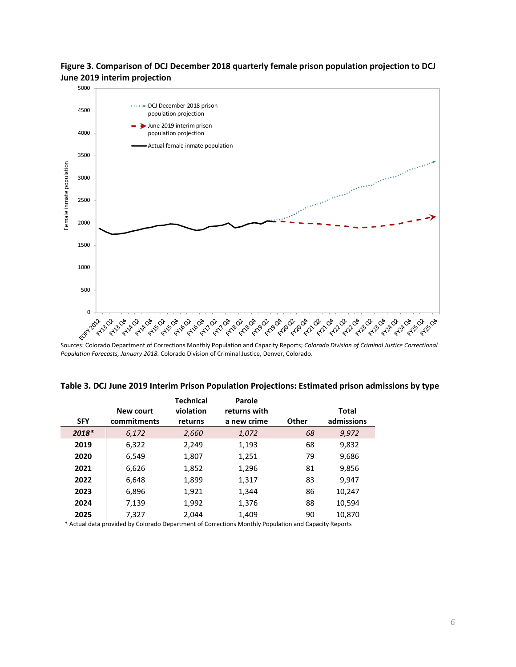**Figure 3. Comparison of DCJ December 2018 quarterly female prison population projection to DCJ June 2019 interim projection**



Sources: Colorado Department of Corrections Monthly Population and Capacity Reports; *Colorado Division of Criminal Justice Correctional Population Forecasts, January 2018.* Colorado Division of Criminal Justice, Denver, Colorado.

|            |             | <b>Technical</b> | Parole       |              |              |  |
|------------|-------------|------------------|--------------|--------------|--------------|--|
|            | New court   | violation        | returns with |              | <b>Total</b> |  |
| <b>SFY</b> | commitments | returns          | a new crime  | <b>Other</b> | admissions   |  |
| 2018*      | 6,172       | 2,660            | 1,072        | 68           | 9,972        |  |
| 2019       | 6,322       | 2,249            | 1,193        | 68           | 9,832        |  |
| 2020       | 6,549       | 1,807            | 1,251        | 79           | 9,686        |  |
| 2021       | 6,626       | 1,852            | 1,296        | 81           | 9,856        |  |
| 2022       | 6,648       | 1,899            | 1,317        | 83           | 9,947        |  |
| 2023       | 6,896       | 1,921            | 1,344        | 86           | 10,247       |  |
| 2024       | 7,139       | 1,992            | 1,376        | 88           | 10,594       |  |
| 2025       | 7,327       | 2.044            | 1,409        | 90           | 10,870       |  |

**Table 3. DCJ June 2019 Interim Prison Population Projections: Estimated prison admissions by type**

\* Actual data provided by Colorado Department of Corrections Monthly Population and Capacity Reports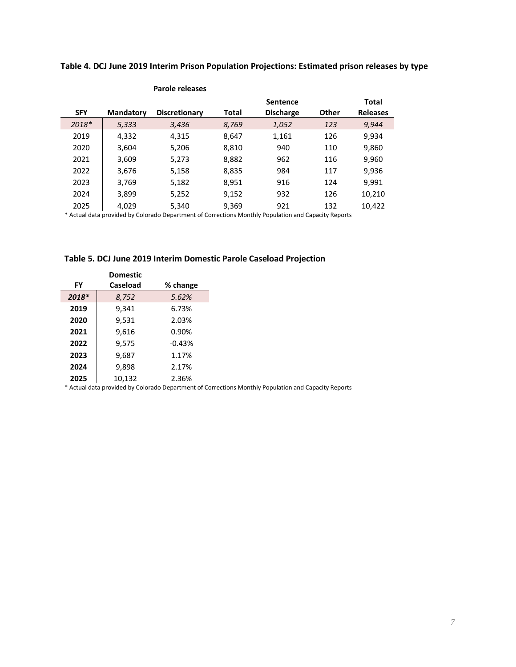|            |                  | <b>Parole releases</b> |       |                  |       |                 |
|------------|------------------|------------------------|-------|------------------|-------|-----------------|
|            |                  |                        |       | <b>Sentence</b>  |       | Total           |
| <b>SFY</b> | <b>Mandatory</b> | <b>Discretionary</b>   | Total | <b>Discharge</b> | Other | <b>Releases</b> |
| $2018*$    | 5,333            | 3,436                  | 8,769 | 1,052            | 123   | 9,944           |
| 2019       | 4,332            | 4,315                  | 8,647 | 1,161            | 126   | 9,934           |
| 2020       | 3,604            | 5,206                  | 8,810 | 940              | 110   | 9,860           |
| 2021       | 3,609            | 5,273                  | 8,882 | 962              | 116   | 9,960           |
| 2022       | 3,676            | 5,158                  | 8,835 | 984              | 117   | 9,936           |
| 2023       | 3,769            | 5,182                  | 8,951 | 916              | 124   | 9,991           |
| 2024       | 3,899            | 5,252                  | 9,152 | 932              | 126   | 10,210          |
| 2025       | 4.029            | 5,340                  | 9,369 | 921              | 132   | 10,422          |

**Table 4. DCJ June 2019 Interim Prison Population Projections: Estimated prison releases by type**

\* Actual data provided by Colorado Department of Corrections Monthly Population and Capacity Reports

|  |  |  |  | Table 5. DCJ June 2019 Interim Domestic Parole Caseload Projection |  |
|--|--|--|--|--------------------------------------------------------------------|--|
|--|--|--|--|--------------------------------------------------------------------|--|

|           | <b>Domestic</b> |          |
|-----------|-----------------|----------|
| <b>FY</b> | <b>Caseload</b> | % change |
| $2018*$   | 8,752           | 5.62%    |
| 2019      | 9,341           | 6.73%    |
| 2020      | 9,531           | 2.03%    |
| 2021      | 9,616           | 0.90%    |
| 2022      | 9,575           | $-0.43%$ |
| 2023      | 9,687           | 1.17%    |
| 2024      | 9,898           | 2.17%    |
| 2025      | 10,132          | 2.36%    |

\* Actual data provided by Colorado Department of Corrections Monthly Population and Capacity Reports